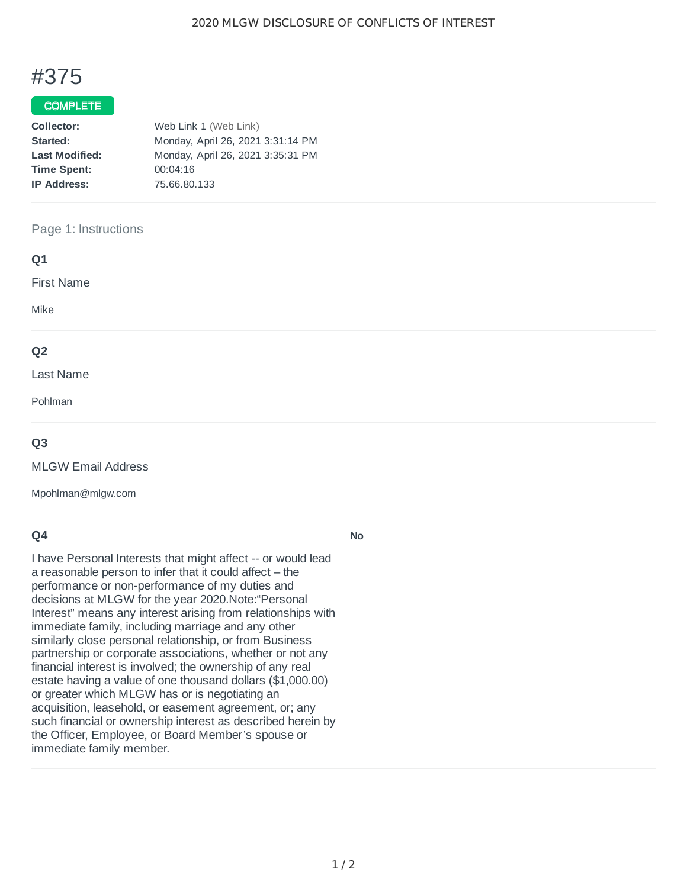# #375

## COMPLETE

| Web Link 1 (Web Link)             |  |  |
|-----------------------------------|--|--|
| Monday, April 26, 2021 3:31:14 PM |  |  |
| Monday, April 26, 2021 3:35:31 PM |  |  |
| 00:04:16                          |  |  |
| 75.66.80.133                      |  |  |
|                                   |  |  |

#### Page 1: Instructions

| Q1                |  |  |
|-------------------|--|--|
| <b>First Name</b> |  |  |
| Mike              |  |  |
| Q <sub>2</sub>    |  |  |
| Last Name         |  |  |
| Pohlman           |  |  |
|                   |  |  |

#### **Q3**

MLGW Email Address

Mpohlman@mlgw.com

## **Q4**

I have Personal Interests that might affect -- or would lead a reasonable person to infer that it could affect – the performance or non-performance of my duties and decisions at MLGW for the year 2020.Note:"Personal Interest" means any interest arising from relationships with immediate family, including marriage and any other similarly close personal relationship, or from Business partnership or corporate associations, whether or not any financial interest is involved; the ownership of any real estate having a value of one thousand dollars (\$1,000.00) or greater which MLGW has or is negotiating an acquisition, leasehold, or easement agreement, or; any such financial or ownership interest as described herein by the Officer, Employee, or Board Member's spouse or immediate family member.

#### **No**